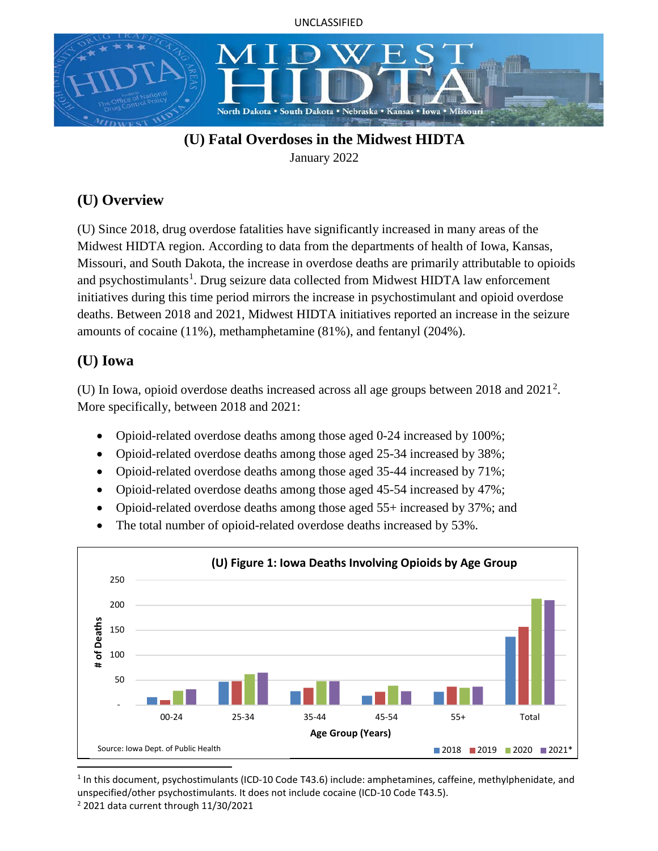



# **(U) Fatal Overdoses in the Midwest HIDTA**

January 2022

# **(U) Overview**

(U) Since 2018, drug overdose fatalities have significantly increased in many areas of the Midwest HIDTA region. According to data from the departments of health of Iowa, Kansas, Missouri, and South Dakota, the increase in overdose deaths are primarily attributable to opioids and psychostimulants<sup>[1](#page-0-0)</sup>. Drug seizure data collected from Midwest HIDTA law enforcement initiatives during this time period mirrors the increase in psychostimulant and opioid overdose deaths. Between 2018 and 2021, Midwest HIDTA initiatives reported an increase in the seizure amounts of cocaine (11%), methamphetamine (81%), and fentanyl (204%).

## **(U) Iowa**

(U) In Iowa, opioid overdose deaths increased across all age groups between  $2018$  $2018$  and  $2021<sup>2</sup>$ . More specifically, between 2018 and 2021:

- Opioid-related overdose deaths among those aged 0-24 increased by 100%;
- Opioid-related overdose deaths among those aged 25-34 increased by 38%;
- Opioid-related overdose deaths among those aged 35-44 increased by 71%;
- Opioid-related overdose deaths among those aged 45-54 increased by 47%;
- Opioid-related overdose deaths among those aged 55+ increased by 37%; and
- The total number of opioid-related overdose deaths increased by 53%.



<span id="page-0-1"></span><span id="page-0-0"></span> 1 In this document, psychostimulants (ICD-10 Code T43.6) include: amphetamines, caffeine, methylphenidate, and unspecified/other psychostimulants. It does not include cocaine (ICD-10 Code T43.5).  $2$  2021 data current through 11/30/2021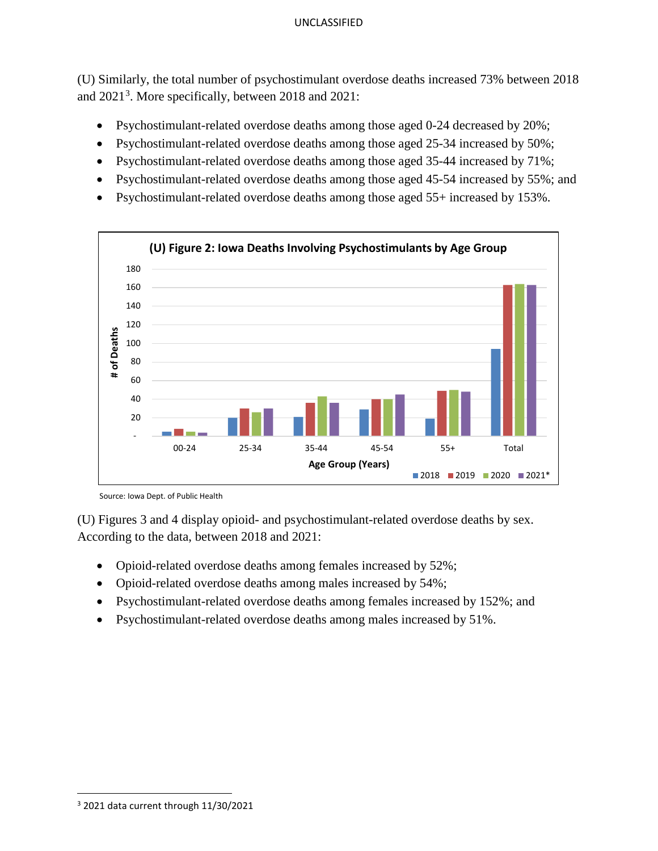(U) Similarly, the total number of psychostimulant overdose deaths increased 73% between 2018 and 2021<sup>[3](#page-1-0)</sup>. More specifically, between 2018 and 2021:

- Psychostimulant-related overdose deaths among those aged 0-24 decreased by 20%;
- Psychostimulant-related overdose deaths among those aged 25-34 increased by 50%;
- Psychostimulant-related overdose deaths among those aged 35-44 increased by 71%;
- Psychostimulant-related overdose deaths among those aged 45-54 increased by 55%; and
- Psychostimulant-related overdose deaths among those aged 55+ increased by 153%.



Source: Iowa Dept. of Public Health

(U) Figures 3 and 4 display opioid- and psychostimulant-related overdose deaths by sex. According to the data, between 2018 and 2021:

- Opioid-related overdose deaths among females increased by 52%;
- Opioid-related overdose deaths among males increased by 54%;
- Psychostimulant-related overdose deaths among females increased by 152%; and
- Psychostimulant-related overdose deaths among males increased by 51%.

<span id="page-1-0"></span> $3$  2021 data current through 11/30/2021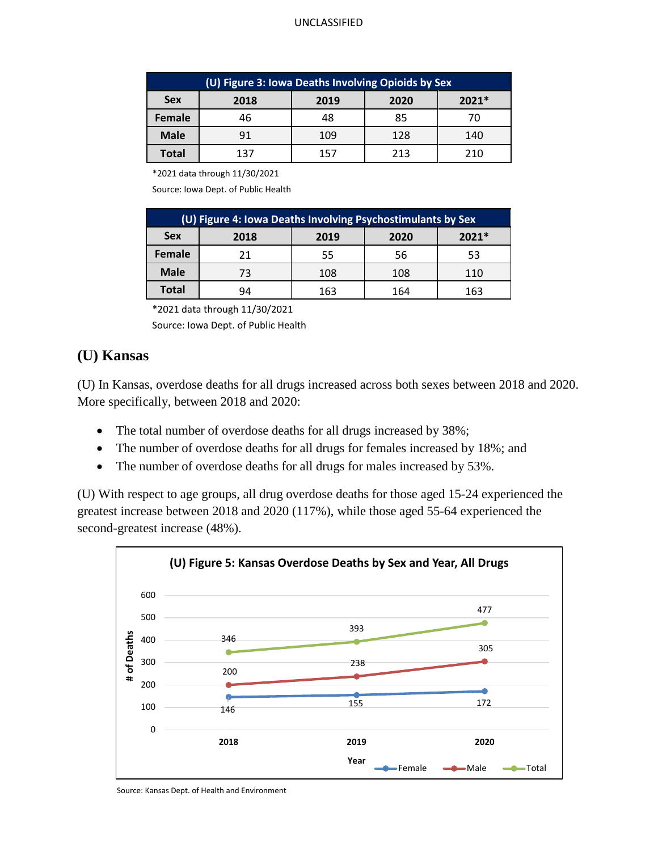| (U) Figure 3: Iowa Deaths Involving Opioids by Sex |      |      |      |         |  |  |  |
|----------------------------------------------------|------|------|------|---------|--|--|--|
| <b>Sex</b>                                         | 2018 | 2019 | 2020 | $2021*$ |  |  |  |
| <b>Female</b>                                      | 46   | 48   | 85   |         |  |  |  |
| <b>Male</b>                                        | 91   | 109  | 128  | 140     |  |  |  |
| Total                                              | 137  | 157  | 213  | 210     |  |  |  |

\*2021 data through 11/30/2021

Source: Iowa Dept. of Public Health

| (U) Figure 4: Iowa Deaths Involving Psychostimulants by Sex |      |      |      |         |  |  |
|-------------------------------------------------------------|------|------|------|---------|--|--|
| <b>Sex</b>                                                  | 2018 | 2019 | 2020 | $2021*$ |  |  |
| <b>Female</b>                                               | 21   | 55   | 56   | 53      |  |  |
| <b>Male</b>                                                 | 73   | 108  | 108  | 110     |  |  |
| <b>Total</b>                                                | 94   | 163  | 164  | 163     |  |  |

\*2021 data through 11/30/2021

Source: Iowa Dept. of Public Health

### **(U) Kansas**

(U) In Kansas, overdose deaths for all drugs increased across both sexes between 2018 and 2020. More specifically, between 2018 and 2020:

- The total number of overdose deaths for all drugs increased by 38%;
- The number of overdose deaths for all drugs for females increased by 18%; and
- The number of overdose deaths for all drugs for males increased by 53%.

(U) With respect to age groups, all drug overdose deaths for those aged 15-24 experienced the greatest increase between 2018 and 2020 (117%), while those aged 55-64 experienced the second-greatest increase (48%).



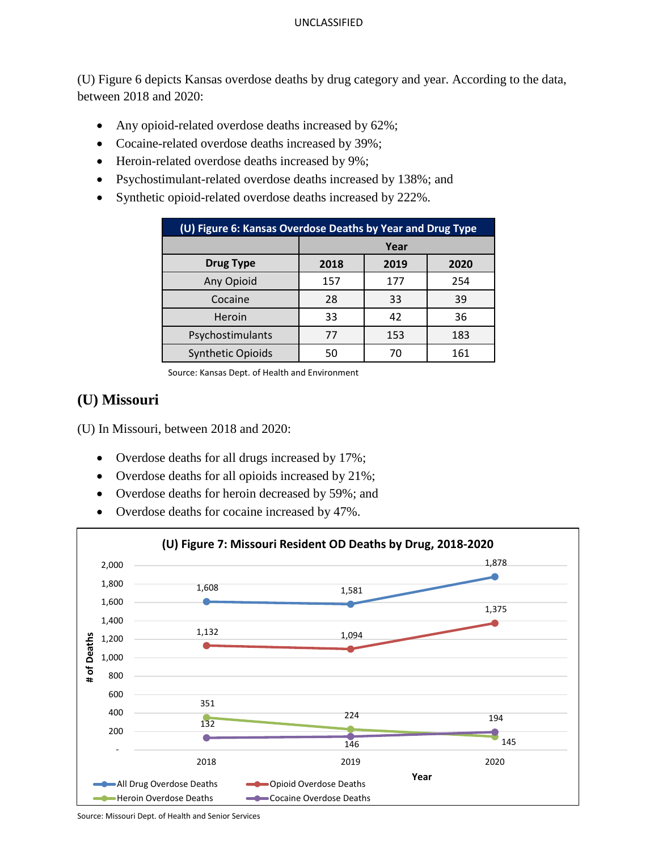(U) Figure 6 depicts Kansas overdose deaths by drug category and year. According to the data, between 2018 and 2020:

- Any opioid-related overdose deaths increased by 62%;
- Cocaine-related overdose deaths increased by 39%;
- Heroin-related overdose deaths increased by 9%;
- Psychostimulant-related overdose deaths increased by 138%; and
- Synthetic opioid-related overdose deaths increased by 222%.

| (U) Figure 6: Kansas Overdose Deaths by Year and Drug Type |      |      |      |  |  |  |
|------------------------------------------------------------|------|------|------|--|--|--|
|                                                            | Year |      |      |  |  |  |
| <b>Drug Type</b>                                           | 2018 | 2019 | 2020 |  |  |  |
| Any Opioid                                                 | 157  | 177  | 254  |  |  |  |
| Cocaine                                                    | 28   | 33   | 39   |  |  |  |
| Heroin                                                     | 33   | 42   | 36   |  |  |  |
| Psychostimulants                                           | 77   | 153  | 183  |  |  |  |
| <b>Synthetic Opioids</b>                                   | 50   | 70   | 161  |  |  |  |

Source: Kansas Dept. of Health and Environment

### **(U) Missouri**

(U) In Missouri, between 2018 and 2020:

- Overdose deaths for all drugs increased by 17%;
- Overdose deaths for all opioids increased by 21%;
- Overdose deaths for heroin decreased by 59%; and
- Overdose deaths for cocaine increased by 47%.



Source: Missouri Dept. of Health and Senior Services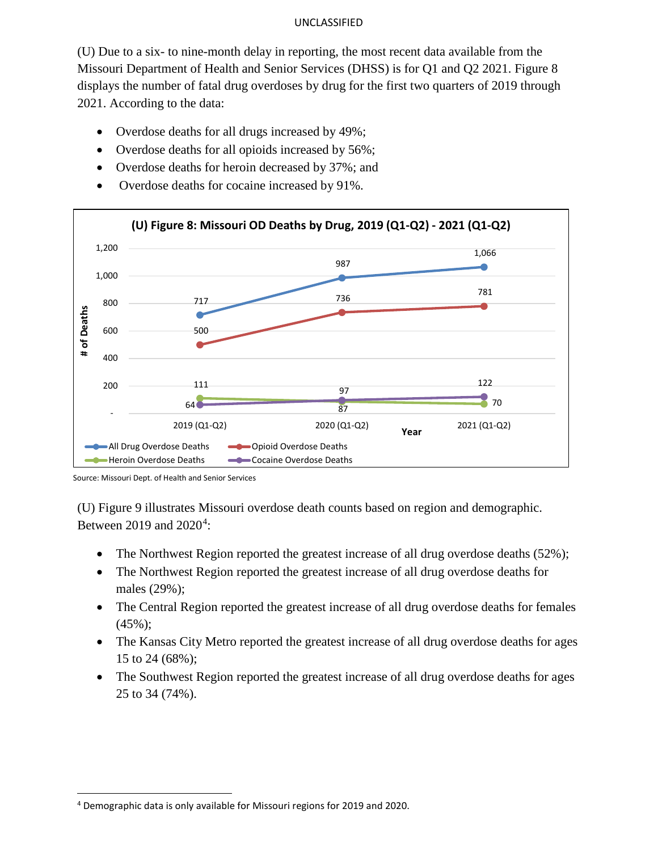(U) Due to a six- to nine-month delay in reporting, the most recent data available from the Missouri Department of Health and Senior Services (DHSS) is for Q1 and Q2 2021. Figure 8 displays the number of fatal drug overdoses by drug for the first two quarters of 2019 through 2021. According to the data:

- Overdose deaths for all drugs increased by 49%;
- Overdose deaths for all opioids increased by 56%;
- Overdose deaths for heroin decreased by 37%; and
- Overdose deaths for cocaine increased by 91%.



Source: Missouri Dept. of Health and Senior Services

(U) Figure 9 illustrates Missouri overdose death counts based on region and demographic. Between 2019 and  $2020^4$  $2020^4$ :

- The Northwest Region reported the greatest increase of all drug overdose deaths (52%);
- The Northwest Region reported the greatest increase of all drug overdose deaths for males (29%);
- The Central Region reported the greatest increase of all drug overdose deaths for females  $(45\%)$ ;
- The Kansas City Metro reported the greatest increase of all drug overdose deaths for ages 15 to 24 (68%);
- The Southwest Region reported the greatest increase of all drug overdose deaths for ages 25 to 34 (74%).

<span id="page-4-0"></span> <sup>4</sup> Demographic data is only available for Missouri regions for 2019 and 2020.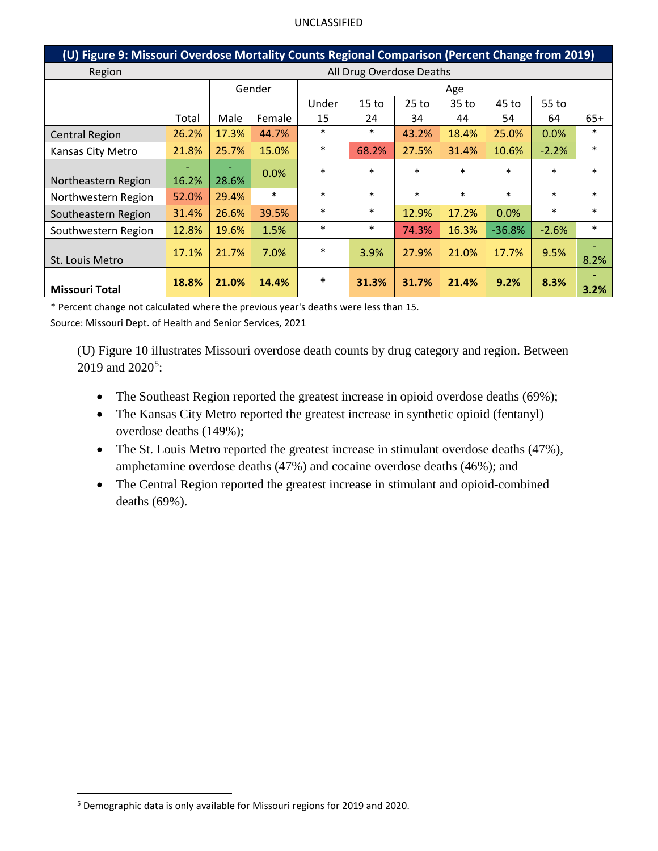| (U) Figure 9: Missouri Overdose Mortality Counts Regional Comparison (Percent Change from 2019) |                          |       |        |        |                  |         |        |          |         |        |
|-------------------------------------------------------------------------------------------------|--------------------------|-------|--------|--------|------------------|---------|--------|----------|---------|--------|
| Region                                                                                          | All Drug Overdose Deaths |       |        |        |                  |         |        |          |         |        |
|                                                                                                 | Gender<br>Age            |       |        |        |                  |         |        |          |         |        |
|                                                                                                 |                          |       |        | Under  | 15 <sub>to</sub> | $25$ to | 35 to  | 45 to    | 55 to   |        |
|                                                                                                 | Total                    | Male  | Female | 15     | 24               | 34      | 44     | 54       | 64      | $65+$  |
| <b>Central Region</b>                                                                           | 26.2%                    | 17.3% | 44.7%  | $\ast$ | $\ast$           | 43.2%   | 18.4%  | 25.0%    | 0.0%    | $\ast$ |
| Kansas City Metro                                                                               | 21.8%                    | 25.7% | 15.0%  | $\ast$ | 68.2%            | 27.5%   | 31.4%  | 10.6%    | $-2.2%$ | $\ast$ |
| Northeastern Region                                                                             | 16.2%                    | 28.6% | 0.0%   | $\ast$ | $\ast$           | $\ast$  | $\ast$ | $\ast$   | $\ast$  | $\ast$ |
| Northwestern Region                                                                             | 52.0%                    | 29.4% | $\ast$ | $\ast$ | $\ast$           | $\ast$  | $\ast$ | $\ast$   | $\ast$  | $\ast$ |
| Southeastern Region                                                                             | 31.4%                    | 26.6% | 39.5%  | $\ast$ | $\ast$           | 12.9%   | 17.2%  | 0.0%     | $\ast$  | $\ast$ |
| Southwestern Region                                                                             | 12.8%                    | 19.6% | 1.5%   | $\ast$ | $\ast$           | 74.3%   | 16.3%  | $-36.8%$ | $-2.6%$ | $\ast$ |
| St. Louis Metro                                                                                 | 17.1%                    | 21.7% | 7.0%   | $\ast$ | 3.9%             | 27.9%   | 21.0%  | 17.7%    | 9.5%    | 8.2%   |
| <b>Missouri Total</b>                                                                           | 18.8%                    | 21.0% | 14.4%  | $\ast$ | 31.3%            | 31.7%   | 21.4%  | 9.2%     | 8.3%    | 3.2%   |

\* Percent change not calculated where the previous year's deaths were less than 15.

Source: Missouri Dept. of Health and Senior Services, 2021

(U) Figure 10 illustrates Missouri overdose death counts by drug category and region. Between  $2019$  and  $2020^5$  $2020^5$ :

- The Southeast Region reported the greatest increase in opioid overdose deaths (69%);
- The Kansas City Metro reported the greatest increase in synthetic opioid (fentanyl) overdose deaths (149%);
- The St. Louis Metro reported the greatest increase in stimulant overdose deaths (47%), amphetamine overdose deaths (47%) and cocaine overdose deaths (46%); and
- The Central Region reported the greatest increase in stimulant and opioid-combined deaths (69%).

<span id="page-5-0"></span> <sup>5</sup> Demographic data is only available for Missouri regions for 2019 and 2020.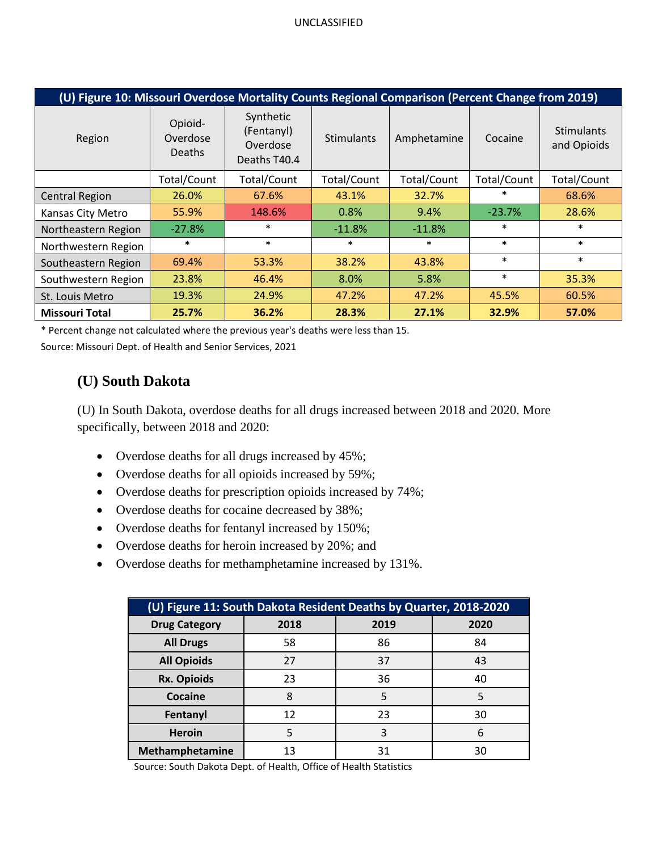| (U) Figure 10: Missouri Overdose Mortality Counts Regional Comparison (Percent Change from 2019) |                                      |                                                     |                   |             |             |                                  |  |
|--------------------------------------------------------------------------------------------------|--------------------------------------|-----------------------------------------------------|-------------------|-------------|-------------|----------------------------------|--|
| Region                                                                                           | Opioid-<br>Overdose<br><b>Deaths</b> | Synthetic<br>(Fentanyl)<br>Overdose<br>Deaths T40.4 | <b>Stimulants</b> | Amphetamine | Cocaine     | <b>Stimulants</b><br>and Opioids |  |
|                                                                                                  | Total/Count                          | Total/Count                                         | Total/Count       | Total/Count | Total/Count | Total/Count                      |  |
| <b>Central Region</b>                                                                            | 26.0%                                | 67.6%                                               | 43.1%             | 32.7%       | $\ast$      | 68.6%                            |  |
| Kansas City Metro                                                                                | 55.9%                                | 148.6%                                              | 0.8%              | 9.4%        | $-23.7%$    | 28.6%                            |  |
| Northeastern Region                                                                              | $-27.8%$                             | $\ast$                                              | $-11.8%$          | $-11.8%$    | $\ast$      | $\ast$                           |  |
| Northwestern Region                                                                              | $\ast$                               | $\ast$                                              | $\ast$            | $\ast$      | $\ast$      | $\ast$                           |  |
| Southeastern Region                                                                              | 69.4%                                | 53.3%                                               | 38.2%             | 43.8%       | $\ast$      | $\ast$                           |  |
| Southwestern Region                                                                              | 23.8%                                | 46.4%                                               | 8.0%              | 5.8%        | $\ast$      | 35.3%                            |  |
| St. Louis Metro                                                                                  | 19.3%                                | 24.9%                                               | 47.2%             | 47.2%       | 45.5%       | 60.5%                            |  |
| <b>Missouri Total</b>                                                                            | 25.7%                                | 36.2%                                               | 28.3%             | 27.1%       | 32.9%       | 57.0%                            |  |

\* Percent change not calculated where the previous year's deaths were less than 15.

Source: Missouri Dept. of Health and Senior Services, 2021

## **(U) South Dakota**

(U) In South Dakota, overdose deaths for all drugs increased between 2018 and 2020. More specifically, between 2018 and 2020:

- Overdose deaths for all drugs increased by 45%;
- Overdose deaths for all opioids increased by 59%;
- Overdose deaths for prescription opioids increased by 74%;
- Overdose deaths for cocaine decreased by 38%;
- Overdose deaths for fentanyl increased by 150%;
- Overdose deaths for heroin increased by 20%; and
- Overdose deaths for methamphetamine increased by 131%.

| (U) Figure 11: South Dakota Resident Deaths by Quarter, 2018-2020 |      |      |      |  |  |  |
|-------------------------------------------------------------------|------|------|------|--|--|--|
| <b>Drug Category</b>                                              | 2018 | 2019 | 2020 |  |  |  |
| <b>All Drugs</b>                                                  | 58   | 86   | 84   |  |  |  |
| <b>All Opioids</b>                                                | 27   | 37   | 43   |  |  |  |
| <b>Rx. Opioids</b>                                                | 23   | 36   | 40   |  |  |  |
| <b>Cocaine</b>                                                    | 8    | 5    |      |  |  |  |
| Fentanyl                                                          | 12   | 23   | 30   |  |  |  |
| <b>Heroin</b>                                                     |      | 3    | 6    |  |  |  |
| Methamphetamine                                                   | 13   | 31   | 30   |  |  |  |

Source: South Dakota Dept. of Health, Office of Health Statistics